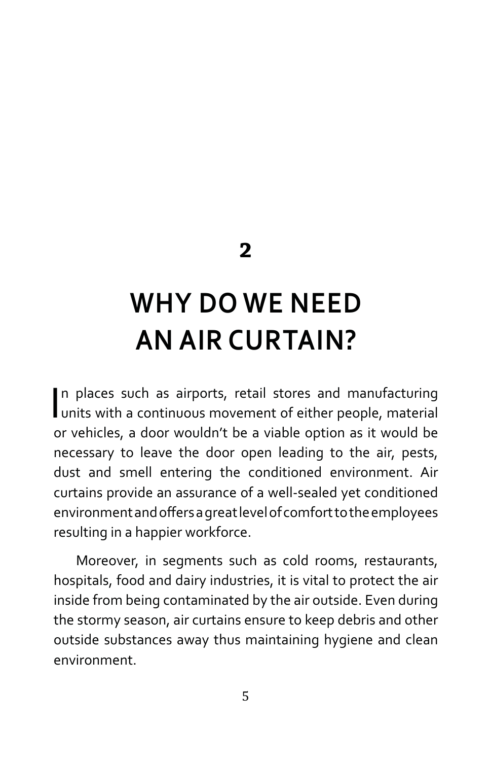**2**

## **WHY DO WE NEED AN AIR CURTAIN?**

In places such as airports, retail stores and manufacturing<br>units with a continuous movement of either people, material n places such as airports, retail stores and manufacturing or vehicles, a door wouldn't be a viable option as it would be necessary to leave the door open leading to the air, pests, dust and smell entering the conditioned environment. Air curtains provide an assurance of a well-sealed yet conditioned environment and offers a great level of comfort to the employees resulting in a happier workforce.

Moreover, in segments such as cold rooms, restaurants, hospitals, food and dairy industries, it is vital to protect the air inside from being contaminated by the air outside. Even during the stormy season, air curtains ensure to keep debris and other outside substances away thus maintaining hygiene and clean environment.